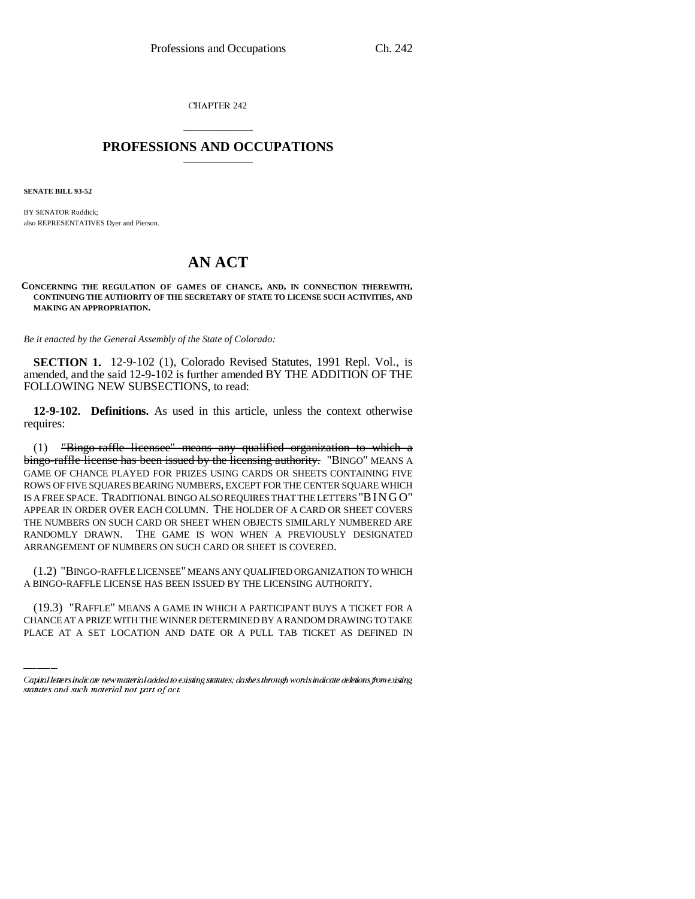CHAPTER 242

## \_\_\_\_\_\_\_\_\_\_\_\_\_\_\_ **PROFESSIONS AND OCCUPATIONS** \_\_\_\_\_\_\_\_\_\_\_\_\_\_\_

**SENATE BILL 93-52**

BY SENATOR Ruddick; also REPRESENTATIVES Dyer and Pierson.

## **AN ACT**

**CONCERNING THE REGULATION OF GAMES OF CHANCE, AND, IN CONNECTION THEREWITH, CONTINUING THE AUTHORITY OF THE SECRETARY OF STATE TO LICENSE SUCH ACTIVITIES, AND MAKING AN APPROPRIATION.**

*Be it enacted by the General Assembly of the State of Colorado:*

**SECTION 1.** 12-9-102 (1), Colorado Revised Statutes, 1991 Repl. Vol., is amended, and the said 12-9-102 is further amended BY THE ADDITION OF THE FOLLOWING NEW SUBSECTIONS, to read:

**12-9-102. Definitions.** As used in this article, unless the context otherwise requires:

(1) "Bingo-raffle licensee" means any qualified organization to which a bingo-raffle license has been issued by the licensing authority. "BINGO" MEANS A GAME OF CHANCE PLAYED FOR PRIZES USING CARDS OR SHEETS CONTAINING FIVE ROWS OF FIVE SQUARES BEARING NUMBERS, EXCEPT FOR THE CENTER SQUARE WHICH IS A FREE SPACE. TRADITIONAL BINGO ALSO REQUIRES THAT THE LETTERS "BINGO" APPEAR IN ORDER OVER EACH COLUMN. THE HOLDER OF A CARD OR SHEET COVERS THE NUMBERS ON SUCH CARD OR SHEET WHEN OBJECTS SIMILARLY NUMBERED ARE RANDOMLY DRAWN. THE GAME IS WON WHEN A PREVIOUSLY DESIGNATED ARRANGEMENT OF NUMBERS ON SUCH CARD OR SHEET IS COVERED.

A BINGO-RAFFLE LICENSE HAS BEEN ISSUED BY THE LICENSING AUTHORITY. (1.2) "BINGO-RAFFLE LICENSEE" MEANS ANY QUALIFIED ORGANIZATION TO WHICH

(19.3) "RAFFLE" MEANS A GAME IN WHICH A PARTICIPANT BUYS A TICKET FOR A CHANCE AT A PRIZE WITH THE WINNER DETERMINED BY A RANDOM DRAWING TO TAKE PLACE AT A SET LOCATION AND DATE OR A PULL TAB TICKET AS DEFINED IN

Capital letters indicate new material added to existing statutes; dashes through words indicate deletions from existing statutes and such material not part of act.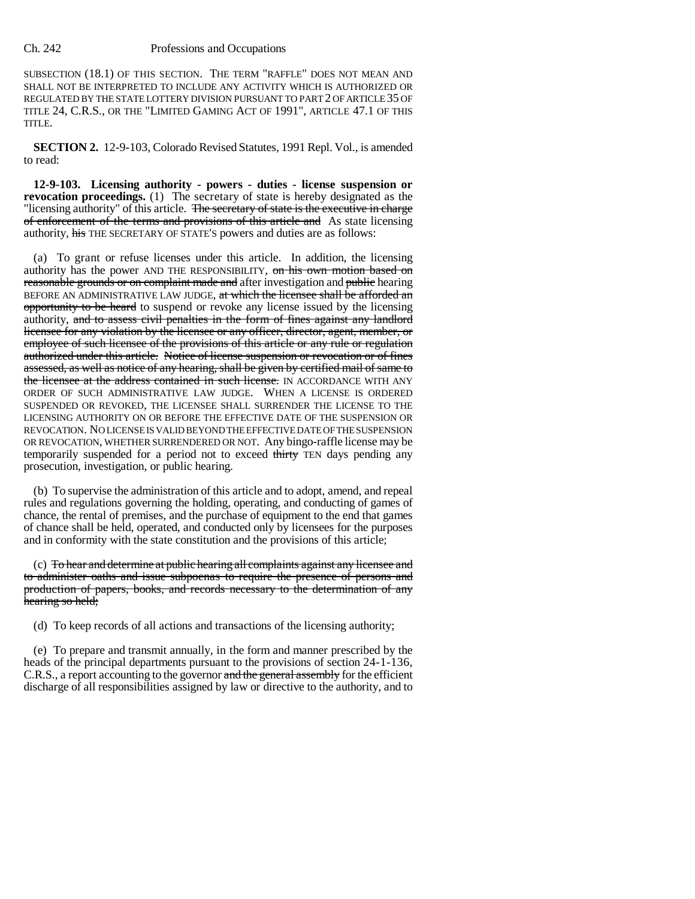## Ch. 242 Professions and Occupations

SUBSECTION (18.1) OF THIS SECTION. THE TERM "RAFFLE" DOES NOT MEAN AND SHALL NOT BE INTERPRETED TO INCLUDE ANY ACTIVITY WHICH IS AUTHORIZED OR REGULATED BY THE STATE LOTTERY DIVISION PURSUANT TO PART 2 OF ARTICLE 35 OF TITLE 24, C.R.S., OR THE "LIMITED GAMING ACT OF 1991", ARTICLE 47.1 OF THIS TITLE.

**SECTION 2.** 12-9-103, Colorado Revised Statutes, 1991 Repl. Vol., is amended to read:

**12-9-103. Licensing authority - powers - duties - license suspension or revocation proceedings.** (1) The secretary of state is hereby designated as the "licensing authority" of this article. The secretary of state is the executive in charge of enforcement of the terms and provisions of this article and As state licensing authority, his THE SECRETARY OF STATE'S powers and duties are as follows:

(a) To grant or refuse licenses under this article. In addition, the licensing authority has the power AND THE RESPONSIBILITY, on his own motion based on reasonable grounds or on complaint made and after investigation and public hearing BEFORE AN ADMINISTRATIVE LAW JUDGE, at which the licensee shall be afforded an opportunity to be heard to suspend or revoke any license issued by the licensing authority, and to assess civil penalties in the form of fines against any landlord licensee for any violation by the licensee or any officer, director, agent, member, or employee of such licensee of the provisions of this article or any rule or regulation authorized under this article. Notice of license suspension or revocation or of fines assessed, as well as notice of any hearing, shall be given by certified mail of same to the licensee at the address contained in such license. IN ACCORDANCE WITH ANY ORDER OF SUCH ADMINISTRATIVE LAW JUDGE. WHEN A LICENSE IS ORDERED SUSPENDED OR REVOKED, THE LICENSEE SHALL SURRENDER THE LICENSE TO THE LICENSING AUTHORITY ON OR BEFORE THE EFFECTIVE DATE OF THE SUSPENSION OR REVOCATION. NO LICENSE IS VALID BEYOND THE EFFECTIVE DATE OF THE SUSPENSION OR REVOCATION, WHETHER SURRENDERED OR NOT. Any bingo-raffle license may be temporarily suspended for a period not to exceed thirty TEN days pending any prosecution, investigation, or public hearing.

(b) To supervise the administration of this article and to adopt, amend, and repeal rules and regulations governing the holding, operating, and conducting of games of chance, the rental of premises, and the purchase of equipment to the end that games of chance shall be held, operated, and conducted only by licensees for the purposes and in conformity with the state constitution and the provisions of this article;

(c) To hear and determine at public hearing all complaints against any licensee and to administer oaths and issue subpoenas to require the presence of persons and production of papers, books, and records necessary to the determination of any hearing so held;

(d) To keep records of all actions and transactions of the licensing authority;

(e) To prepare and transmit annually, in the form and manner prescribed by the heads of the principal departments pursuant to the provisions of section 24-1-136, C.R.S., a report accounting to the governor and the general assembly for the efficient discharge of all responsibilities assigned by law or directive to the authority, and to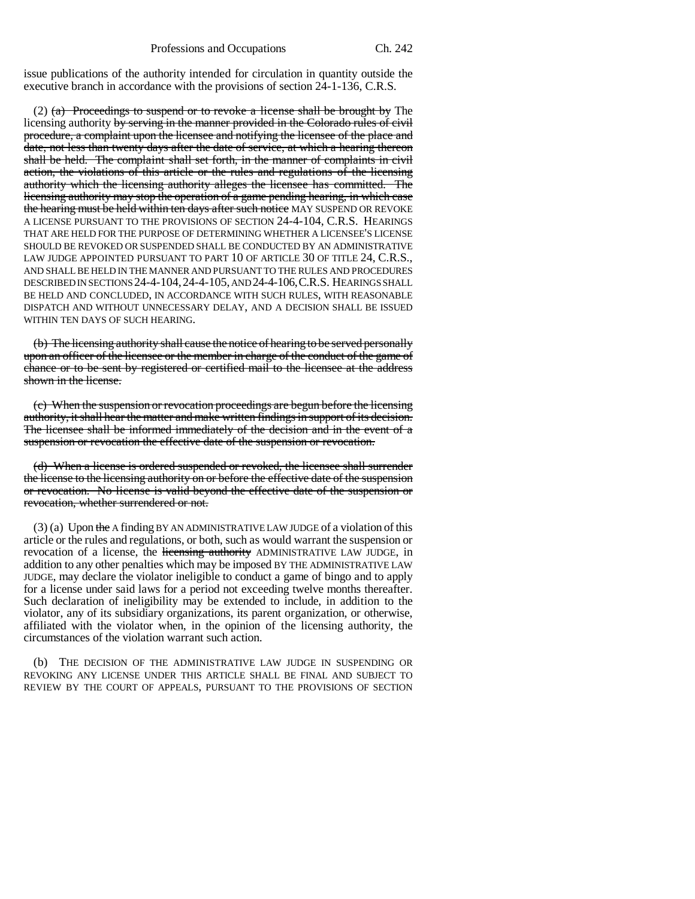issue publications of the authority intended for circulation in quantity outside the executive branch in accordance with the provisions of section 24-1-136, C.R.S.

(2) (a) Proceedings to suspend or to revoke a license shall be brought by The licensing authority by serving in the manner provided in the Colorado rules of civil procedure, a complaint upon the licensee and notifying the licensee of the place and date, not less than twenty days after the date of service, at which a hearing thereon shall be held. The complaint shall set forth, in the manner of complaints in civil action, the violations of this article or the rules and regulations of the licensing authority which the licensing authority alleges the licensee has committed. The licensing authority may stop the operation of a game pending hearing, in which case the hearing must be held within ten days after such notice MAY SUSPEND OR REVOKE A LICENSE PURSUANT TO THE PROVISIONS OF SECTION 24-4-104, C.R.S. HEARINGS THAT ARE HELD FOR THE PURPOSE OF DETERMINING WHETHER A LICENSEE'S LICENSE SHOULD BE REVOKED OR SUSPENDED SHALL BE CONDUCTED BY AN ADMINISTRATIVE LAW JUDGE APPOINTED PURSUANT TO PART 10 OF ARTICLE 30 OF TITLE 24, C.R.S., AND SHALL BE HELD IN THE MANNER AND PURSUANT TO THE RULES AND PROCEDURES DESCRIBED IN SECTIONS 24-4-104,24-4-105, AND 24-4-106,C.R.S. HEARINGS SHALL BE HELD AND CONCLUDED, IN ACCORDANCE WITH SUCH RULES, WITH REASONABLE DISPATCH AND WITHOUT UNNECESSARY DELAY, AND A DECISION SHALL BE ISSUED WITHIN TEN DAYS OF SUCH HEARING.

(b) The licensing authority shall cause the notice of hearing to be served personally upon an officer of the licensee or the member in charge of the conduct of the game of chance or to be sent by registered or certified mail to the licensee at the address shown in the license.

(c) When the suspension or revocation proceedings are begun before the licensing authority, it shall hear the matter and make written findings in support of its decision. The licensee shall be informed immediately of the decision and in the event of a suspension or revocation the effective date of the suspension or revocation.

(d) When a license is ordered suspended or revoked, the licensee shall surrender the license to the licensing authority on or before the effective date of the suspension or revocation. No license is valid beyond the effective date of the suspension or revocation, whether surrendered or not.

 $(3)$  (a) Upon the A finding BY AN ADMINISTRATIVE LAW JUDGE of a violation of this article or the rules and regulations, or both, such as would warrant the suspension or revocation of a license, the licensing authority ADMINISTRATIVE LAW JUDGE, in addition to any other penalties which may be imposed BY THE ADMINISTRATIVE LAW JUDGE, may declare the violator ineligible to conduct a game of bingo and to apply for a license under said laws for a period not exceeding twelve months thereafter. Such declaration of ineligibility may be extended to include, in addition to the violator, any of its subsidiary organizations, its parent organization, or otherwise, affiliated with the violator when, in the opinion of the licensing authority, the circumstances of the violation warrant such action.

(b) THE DECISION OF THE ADMINISTRATIVE LAW JUDGE IN SUSPENDING OR REVOKING ANY LICENSE UNDER THIS ARTICLE SHALL BE FINAL AND SUBJECT TO REVIEW BY THE COURT OF APPEALS, PURSUANT TO THE PROVISIONS OF SECTION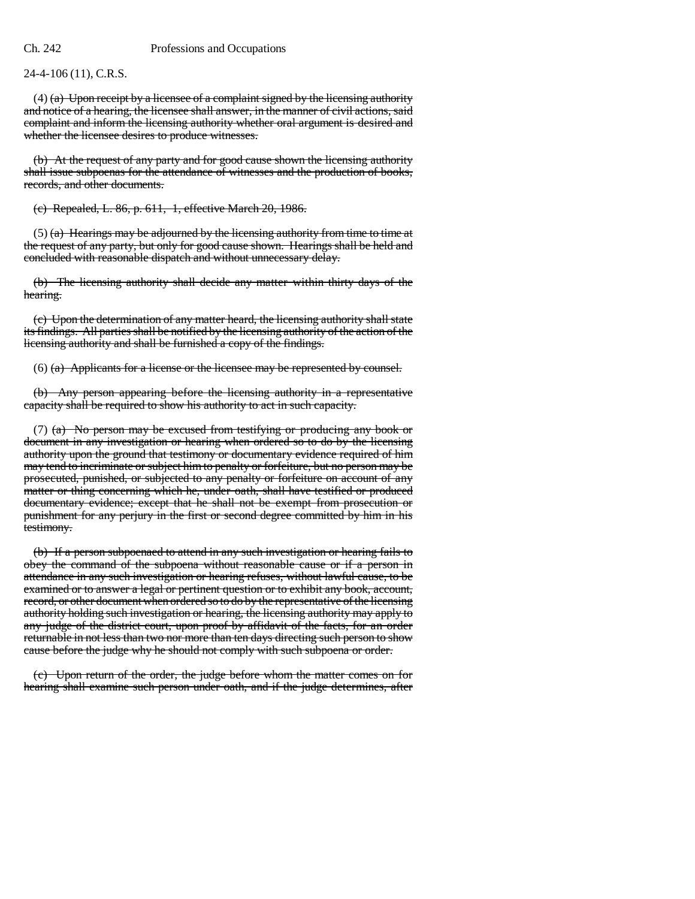24-4-106 (11), C.R.S.

 $(4)$  (a) Upon receipt by a licensee of a complaint signed by the licensing authority and notice of a hearing, the licensee shall answer, in the manner of civil actions, said complaint and inform the licensing authority whether oral argument is desired and whether the licensee desires to produce witnesses.

(b) At the request of any party and for good cause shown the licensing authority shall issue subpoenas for the attendance of witnesses and the production of books, records, and other documents.

(c) Repealed, L. 86, p. 611, 1, effective March 20, 1986.

 $(5)$  (a) Hearings may be adjourned by the licensing authority from time to time at the request of any party, but only for good cause shown. Hearings shall be held and concluded with reasonable dispatch and without unnecessary delay.

(b) The licensing authority shall decide any matter within thirty days of the hearing.

(c) Upon the determination of any matter heard, the licensing authority shall state its findings. All parties shall be notified by the licensing authority of the action of the licensing authority and shall be furnished a copy of the findings.

(6) (a) Applicants for a license or the licensee may be represented by counsel.

(b) Any person appearing before the licensing authority in a representative capacity shall be required to show his authority to act in such capacity.

(7) (a) No person may be excused from testifying or producing any book or document in any investigation or hearing when ordered so to do by the licensing authority upon the ground that testimony or documentary evidence required of him may tend to incriminate or subject him to penalty or forfeiture, but no person may be prosecuted, punished, or subjected to any penalty or forfeiture on account of any matter or thing concerning which he, under oath, shall have testified or produced documentary evidence; except that he shall not be exempt from prosecution or punishment for any perjury in the first or second degree committed by him in his testimony.

(b) If a person subpoenaed to attend in any such investigation or hearing fails to obey the command of the subpoena without reasonable cause or if a person in attendance in any such investigation or hearing refuses, without lawful cause, to be examined or to answer a legal or pertinent question or to exhibit any book, account, record, or other document when ordered so to do by the representative of the licensing authority holding such investigation or hearing, the licensing authority may apply to any judge of the district court, upon proof by affidavit of the facts, for an order returnable in not less than two nor more than ten days directing such person to show cause before the judge why he should not comply with such subpoena or order.

(c) Upon return of the order, the judge before whom the matter comes on for hearing shall examine such person under oath, and if the judge determines, after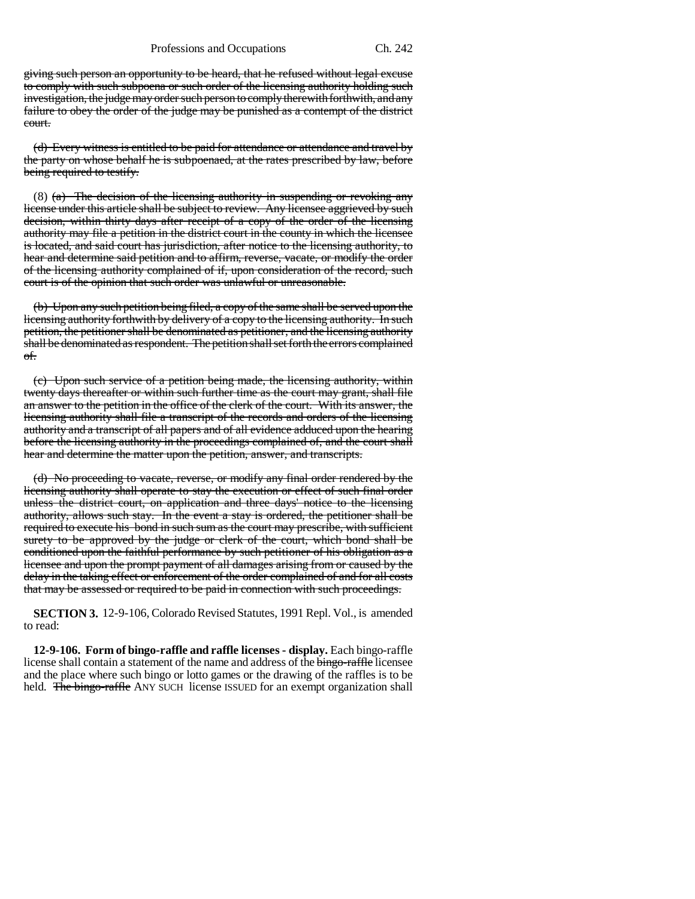giving such person an opportunity to be heard, that he refused without legal excuse to comply with such subpoena or such order of the licensing authority holding such investigation, the judge may order such person to comply therewith forthwith, and any failure to obey the order of the judge may be punished as a contempt of the district court.

(d) Every witness is entitled to be paid for attendance or attendance and travel by the party on whose behalf he is subpoenaed, at the rates prescribed by law, before being required to testify.

(8) (a) The decision of the licensing authority in suspending or revoking any license under this article shall be subject to review. Any licensee aggrieved by such decision, within thirty days after receipt of a copy of the order of the licensing authority may file a petition in the district court in the county in which the licensee is located, and said court has jurisdiction, after notice to the licensing authority, to hear and determine said petition and to affirm, reverse, vacate, or modify the order of the licensing authority complained of if, upon consideration of the record, such court is of the opinion that such order was unlawful or unreasonable.

(b) Upon any such petition being filed, a copy of the same shall be served upon the licensing authority forthwith by delivery of a copy to the licensing authority. In such petition, the petitioner shall be denominated as petitioner, and the licensing authority shall be denominated as respondent. The petition shall set forth the errors complained of.

(c) Upon such service of a petition being made, the licensing authority, within twenty days thereafter or within such further time as the court may grant, shall file an answer to the petition in the office of the clerk of the court. With its answer, the licensing authority shall file a transcript of the records and orders of the licensing authority and a transcript of all papers and of all evidence adduced upon the hearing before the licensing authority in the proceedings complained of, and the court shall hear and determine the matter upon the petition, answer, and transcripts.

(d) No proceeding to vacate, reverse, or modify any final order rendered by the licensing authority shall operate to stay the execution or effect of such final order unless the district court, on application and three days' notice to the licensing authority, allows such stay. In the event a stay is ordered, the petitioner shall be required to execute his bond in such sum as the court may prescribe, with sufficient surety to be approved by the judge or clerk of the court, which bond shall be conditioned upon the faithful performance by such petitioner of his obligation as a licensee and upon the prompt payment of all damages arising from or caused by the delay in the taking effect or enforcement of the order complained of and for all costs that may be assessed or required to be paid in connection with such proceedings.

**SECTION 3.** 12-9-106, Colorado Revised Statutes, 1991 Repl. Vol., is amended to read:

**12-9-106. Form of bingo-raffle and raffle licenses - display.** Each bingo-raffle license shall contain a statement of the name and address of the bingo-raffle licensee and the place where such bingo or lotto games or the drawing of the raffles is to be held. The bingo-raffle ANY SUCH license ISSUED for an exempt organization shall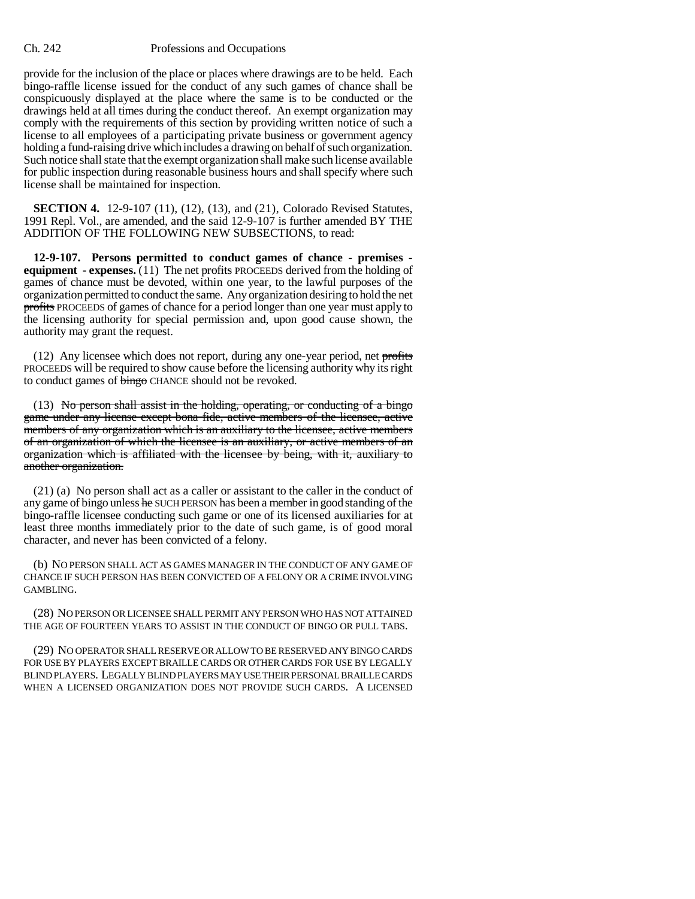## Ch. 242 Professions and Occupations

provide for the inclusion of the place or places where drawings are to be held. Each bingo-raffle license issued for the conduct of any such games of chance shall be conspicuously displayed at the place where the same is to be conducted or the drawings held at all times during the conduct thereof. An exempt organization may comply with the requirements of this section by providing written notice of such a license to all employees of a participating private business or government agency holding a fund-raising drive which includes a drawing on behalf of such organization. Such notice shall state that the exempt organization shall make such license available for public inspection during reasonable business hours and shall specify where such license shall be maintained for inspection.

**SECTION 4.** 12-9-107 (11), (12), (13), and (21), Colorado Revised Statutes, 1991 Repl. Vol., are amended, and the said 12-9-107 is further amended BY THE ADDITION OF THE FOLLOWING NEW SUBSECTIONS, to read:

**12-9-107. Persons permitted to conduct games of chance - premises equipment - expenses.** (11) The net profits PROCEEDS derived from the holding of games of chance must be devoted, within one year, to the lawful purposes of the organization permitted to conduct the same. Any organization desiring to hold the net profits PROCEEDS of games of chance for a period longer than one year must apply to the licensing authority for special permission and, upon good cause shown, the authority may grant the request.

 $(12)$  Any licensee which does not report, during any one-year period, net profits PROCEEDS will be required to show cause before the licensing authority why its right to conduct games of **bingo** CHANCE should not be revoked.

(13) No person shall assist in the holding, operating, or conducting of a bingo game under any license except bona fide, active members of the licensee, active members of any organization which is an auxiliary to the licensee, active members of an organization of which the licensee is an auxiliary, or active members of an organization which is affiliated with the licensee by being, with it, auxiliary to another organization.

(21) (a) No person shall act as a caller or assistant to the caller in the conduct of any game of bingo unless he SUCH PERSON has been a member in good standing of the bingo-raffle licensee conducting such game or one of its licensed auxiliaries for at least three months immediately prior to the date of such game, is of good moral character, and never has been convicted of a felony.

(b) NO PERSON SHALL ACT AS GAMES MANAGER IN THE CONDUCT OF ANY GAME OF CHANCE IF SUCH PERSON HAS BEEN CONVICTED OF A FELONY OR A CRIME INVOLVING GAMBLING.

(28) NO PERSON OR LICENSEE SHALL PERMIT ANY PERSON WHO HAS NOT ATTAINED THE AGE OF FOURTEEN YEARS TO ASSIST IN THE CONDUCT OF BINGO OR PULL TABS.

(29) NO OPERATOR SHALL RESERVE OR ALLOW TO BE RESERVED ANY BINGO CARDS FOR USE BY PLAYERS EXCEPT BRAILLE CARDS OR OTHER CARDS FOR USE BY LEGALLY BLIND PLAYERS. LEGALLY BLIND PLAYERS MAY USE THEIR PERSONAL BRAILLE CARDS WHEN A LICENSED ORGANIZATION DOES NOT PROVIDE SUCH CARDS. A LICENSED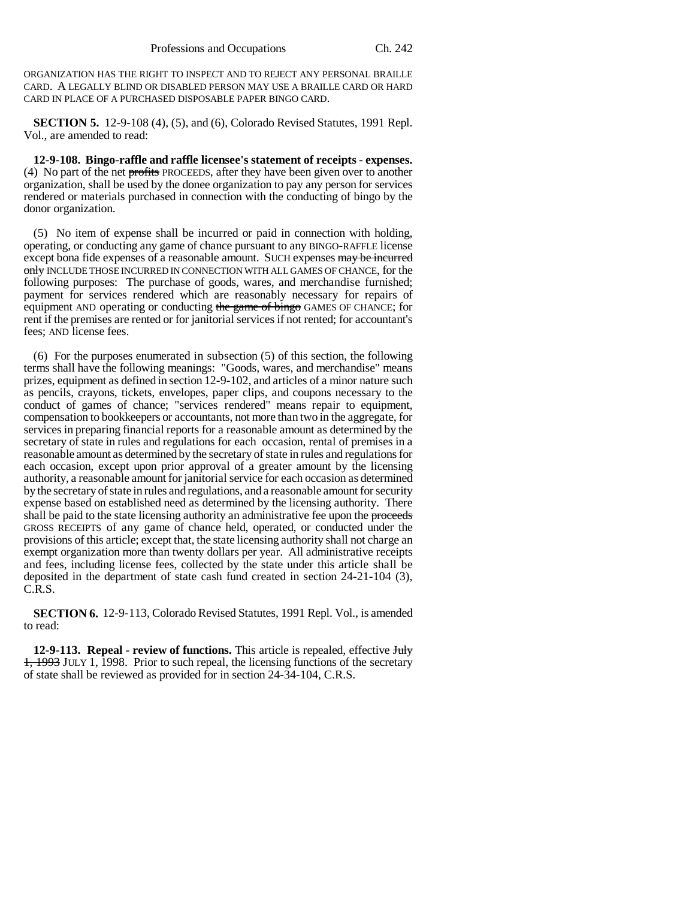ORGANIZATION HAS THE RIGHT TO INSPECT AND TO REJECT ANY PERSONAL BRAILLE CARD. A LEGALLY BLIND OR DISABLED PERSON MAY USE A BRAILLE CARD OR HARD CARD IN PLACE OF A PURCHASED DISPOSABLE PAPER BINGO CARD.

**SECTION 5.** 12-9-108 (4), (5), and (6), Colorado Revised Statutes, 1991 Repl. Vol., are amended to read:

**12-9-108. Bingo-raffle and raffle licensee's statement of receipts - expenses.** (4) No part of the net profits PROCEEDS, after they have been given over to another organization, shall be used by the donee organization to pay any person for services rendered or materials purchased in connection with the conducting of bingo by the donor organization.

(5) No item of expense shall be incurred or paid in connection with holding, operating, or conducting any game of chance pursuant to any BINGO-RAFFLE license except bona fide expenses of a reasonable amount. SUCH expenses may be incurred only INCLUDE THOSE INCURRED IN CONNECTION WITH ALL GAMES OF CHANCE, for the following purposes: The purchase of goods, wares, and merchandise furnished; payment for services rendered which are reasonably necessary for repairs of equipment AND operating or conducting the game of bingo GAMES OF CHANCE; for rent if the premises are rented or for janitorial services if not rented; for accountant's fees; AND license fees.

(6) For the purposes enumerated in subsection (5) of this section, the following terms shall have the following meanings: "Goods, wares, and merchandise" means prizes, equipment as defined in section 12-9-102, and articles of a minor nature such as pencils, crayons, tickets, envelopes, paper clips, and coupons necessary to the conduct of games of chance; "services rendered" means repair to equipment, compensation to bookkeepers or accountants, not more than two in the aggregate, for services in preparing financial reports for a reasonable amount as determined by the secretary of state in rules and regulations for each occasion, rental of premises in a reasonable amount as determined by the secretary of state in rules and regulations for each occasion, except upon prior approval of a greater amount by the licensing authority, a reasonable amount for janitorial service for each occasion as determined by the secretary of state in rules and regulations, and a reasonable amount for security expense based on established need as determined by the licensing authority. There shall be paid to the state licensing authority an administrative fee upon the proceeds GROSS RECEIPTS of any game of chance held, operated, or conducted under the provisions of this article; except that, the state licensing authority shall not charge an exempt organization more than twenty dollars per year. All administrative receipts and fees, including license fees, collected by the state under this article shall be deposited in the department of state cash fund created in section 24-21-104 (3), C.R.S.

**SECTION 6.** 12-9-113, Colorado Revised Statutes, 1991 Repl. Vol., is amended to read:

**12-9-113. Repeal - review of functions.** This article is repealed, effective Huly  $1, 1993$  JULY 1, 1998. Prior to such repeal, the licensing functions of the secretary of state shall be reviewed as provided for in section 24-34-104, C.R.S.